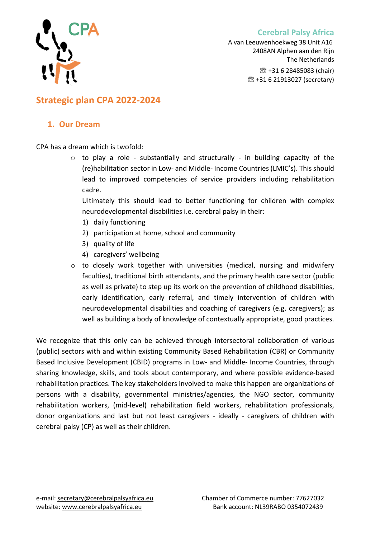



A van Leeuwenhoekweg 38 Unit A16 2408AN Alphen aan den Rijn The Netherlands ☏ +31 6 28485083 (chair) ☏ +31 6 21913027 (secretary)

# **Strategic plan CPA 2022-2024**

### **1. Our Dream**

CPA has a dream which is twofold:

o to play a role - substantially and structurally - in building capacity of the (re)habilitation sector in Low- and Middle- Income Countries (LMIC's). This should lead to improved competencies of service providers including rehabilitation cadre.

Ultimately this should lead to better functioning for children with complex neurodevelopmental disabilities i.e. cerebral palsy in their:

- 1) daily functioning
- 2) participation at home, school and community
- 3) quality of life
- 4) caregivers' wellbeing
- o to closely work together with universities (medical, nursing and midwifery faculties), traditional birth attendants, and the primary health care sector (public as well as private) to step up its work on the prevention of childhood disabilities, early identification, early referral, and timely intervention of children with neurodevelopmental disabilities and coaching of caregivers (e.g. caregivers); as well as building a body of knowledge of contextually appropriate, good practices.

We recognize that this only can be achieved through intersectoral collaboration of various (public) sectors with and within existing Community Based Rehabilitation (CBR) or Community Based Inclusive Development (CBID) programs in Low- and Middle- Income Countries, through sharing knowledge, skills, and tools about contemporary, and where possible evidence-based rehabilitation practices. The key stakeholders involved to make this happen are organizations of persons with a disability, governmental ministries/agencies, the NGO sector, community rehabilitation workers, (mid-level) rehabilitation field workers, rehabilitation professionals, donor organizations and last but not least caregivers - ideally - caregivers of children with cerebral palsy (CP) as well as their children.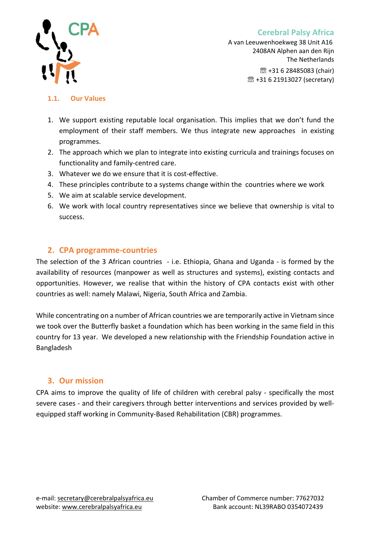



A van Leeuwenhoekweg 38 Unit A16 2408AN Alphen aan den Rijn The Netherlands ☏ +31 6 28485083 (chair) ☏ +31 6 21913027 (secretary)

#### **1.1. Our Values**

- 1. We support existing reputable local organisation. This implies that we don't fund the employment of their staff members. We thus integrate new approaches in existing programmes.
- 2. The approach which we plan to integrate into existing curricula and trainings focuses on functionality and family-centred care.
- 3. Whatever we do we ensure that it is cost-effective.
- 4. These principles contribute to a systems change within the countries where we work
- 5. We aim at scalable service development.
- 6. We work with local country representatives since we believe that ownership is vital to success.

## **2. CPA programme-countries**

The selection of the 3 African countries - i.e. Ethiopia, Ghana and Uganda - is formed by the availability of resources (manpower as well as structures and systems), existing contacts and opportunities. However, we realise that within the history of CPA contacts exist with other countries as well: namely Malawi, Nigeria, South Africa and Zambia.

While concentrating on a number of African countries we are temporarily active in Vietnam since we took over the Butterfly basket a foundation which has been working in the same field in this country for 13 year. We developed a new relationship with the Friendship Foundation active in Bangladesh

## **3. Our mission**

CPA aims to improve the quality of life of children with cerebral palsy - specifically the most severe cases - and their caregivers through better interventions and services provided by wellequipped staff working in Community-Based Rehabilitation (CBR) programmes.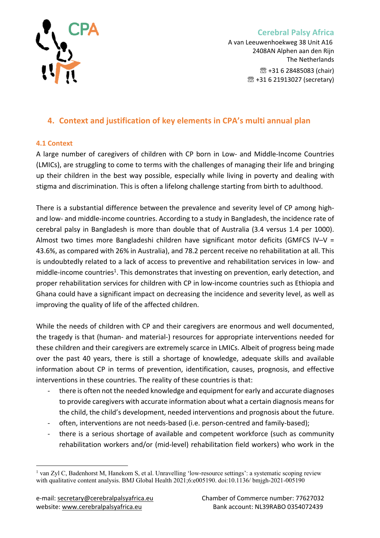

A van Leeuwenhoekweg 38 Unit A16 2408AN Alphen aan den Rijn The Netherlands ☏ +31 6 28485083 (chair) ☏ +31 6 21913027 (secretary)

## **4. Context and justification of key elements in CPA's multi annual plan**

#### **4.1 Context**

A large number of caregivers of children with CP born in Low- and Middle-Income Countries (LMICs), are struggling to come to terms with the challenges of managing their life and bringing up their children in the best way possible, especially while living in poverty and dealing with stigma and discrimination. This is often a lifelong challenge starting from birth to adulthood.

There is a substantial difference between the prevalence and severity level of CP among highand low- and middle-income countries. According to a study in Bangladesh, the incidence rate of cerebral palsy in Bangladesh is more than double that of Australia (3.4 versus 1.4 per 1000). Almost two times more Bangladeshi children have significant motor deficits (GMFCS IV–V = 43.6%, as compared with 26% in Australia), and 78.2 percent receive no rehabilitation at all. This is undoubtedly related to a lack of access to preventive and rehabilitation services in low- and middle-income countries<sup>1</sup>. This demonstrates that investing on prevention, early detection, and proper rehabilitation services for children with CP in low-income countries such as Ethiopia and Ghana could have a significant impact on decreasing the incidence and severity level, as well as improving the quality of life of the affected children.

While the needs of children with CP and their caregivers are enormous and well documented, the tragedy is that (human- and material-) resources for appropriate interventions needed for these children and their caregivers are extremely scarce in LMICs. Albeit of progress being made over the past 40 years, there is still a shortage of knowledge, adequate skills and available information about CP in terms of prevention, identification, causes, prognosis, and effective interventions in these countries. The reality of these countries is that:

- there is often not the needed knowledge and equipment for early and accurate diagnoses to provide caregivers with accurate information about what a certain diagnosis means for the child, the child's development, needed interventions and prognosis about the future.
- often, interventions are not needs-based (i.e. person-centred and family-based);
- there is a serious shortage of available and competent workforce (such as community rehabilitation workers and/or (mid-level) rehabilitation field workers) who work in the

<sup>&</sup>lt;sup>1</sup> van Zyl C, Badenhorst M, Hanekom S, et al. Unravelling 'low-resource settings': a systematic scoping review with qualitative content analysis. BMJ Global Health 2021;6:e005190. doi:10.1136/ bmjgh-2021-005190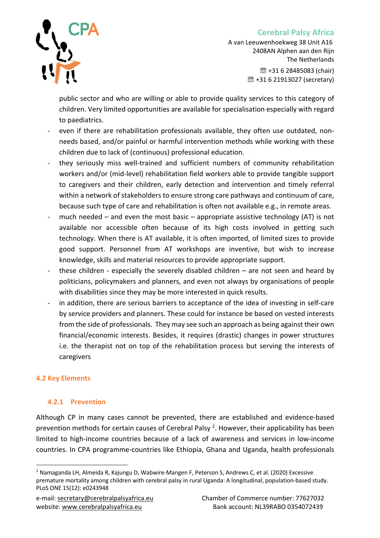

A van Leeuwenhoekweg 38 Unit A16 2408AN Alphen aan den Rijn The Netherlands ☏ +31 6 28485083 (chair) ☏ +31 6 21913027 (secretary)

public sector and who are willing or able to provide quality services to this category of children. Very limited opportunities are available for specialisation especially with regard to paediatrics.

- even if there are rehabilitation professionals available, they often use outdated, nonneeds based, and/or painful or harmful intervention methods while working with these children due to lack of (continuous) professional education.
- they seriously miss well-trained and sufficient numbers of community rehabilitation workers and/or (mid-level) rehabilitation field workers able to provide tangible support to caregivers and their children, early detection and intervention and timely referral within a network of stakeholders to ensure strong care pathways and continuum of care, because such type of care and rehabilitation is often not available e.g., in remote areas.
- much needed  $-$  and even the most basic  $-$  appropriate assistive technology (AT) is not available nor accessible often because of its high costs involved in getting such technology. When there is AT available, it is often imported, of limited sizes to provide good support. Personnel from AT workshops are inventive, but wish to increase knowledge, skills and material resources to provide appropriate support.
- these children especially the severely disabled children  $-$  are not seen and heard by politicians, policymakers and planners, and even not always by organisations of people with disabilities since they may be more interested in quick results.
- in addition, there are serious barriers to acceptance of the idea of investing in self-care by service providers and planners. These could for instance be based on vested interests from the side of professionals. They may see such an approach as being against their own financial/economic interests. Besides, it requires (drastic) changes in power structures i.e. the therapist not on top of the rehabilitation process but serving the interests of caregivers

#### **4.2 Key Elements**

#### **4.2.1 Prevention**

Although CP in many cases cannot be prevented, there are established and evidence-based prevention methods for certain causes of Cerebral Palsy <sup>2</sup>. However, their applicability has been limited to high-income countries because of a lack of awareness and services in low-income countries. In CPA programme-countries like Ethiopia, Ghana and Uganda, health professionals

<sup>2</sup> Namaganda LH, Almeida R, Kajungu D, Wabwire-Mangen F, Peterson S, Andrews C, et al. (2020) Excessive premature mortality among children with cerebral palsy in rural Uganda: A longitudinal, population-based study. PLoS ONE 15(12): e0243948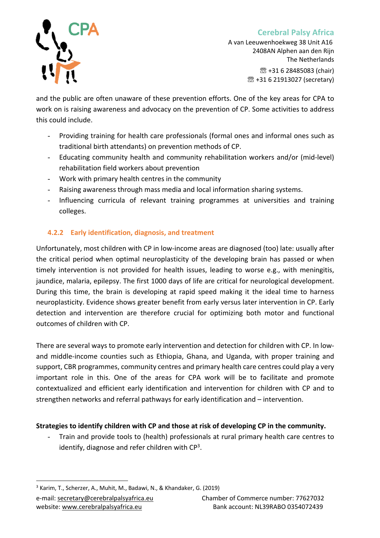

A van Leeuwenhoekweg 38 Unit A16 2408AN Alphen aan den Rijn The Netherlands ☏ +31 6 28485083 (chair) ☏ +31 6 21913027 (secretary)

and the public are often unaware of these prevention efforts. One of the key areas for CPA to work on is raising awareness and advocacy on the prevention of CP. Some activities to address this could include.

- Providing training for health care professionals (formal ones and informal ones such as traditional birth attendants) on prevention methods of CP.
- Educating community health and community rehabilitation workers and/or (mid-level) rehabilitation field workers about prevention
- Work with primary health centres in the community
- Raising awareness through mass media and local information sharing systems.
- Influencing curricula of relevant training programmes at universities and training colleges.

## **4.2.2 Early identification, diagnosis, and treatment**

Unfortunately, most children with CP in low-income areas are diagnosed (too) late: usually after the critical period when optimal neuroplasticity of the developing brain has passed or when timely intervention is not provided for health issues, leading to worse e.g., with meningitis, jaundice, malaria, epilepsy. The first 1000 days of life are critical for neurological development. During this time, the brain is developing at rapid speed making it the ideal time to harness neuroplasticity. Evidence shows greater benefit from early versus later intervention in CP. Early detection and intervention are therefore crucial for optimizing both motor and functional outcomes of children with CP.

There are several ways to promote early intervention and detection for children with CP. In lowand middle-income counties such as Ethiopia, Ghana, and Uganda, with proper training and support, CBR programmes, community centres and primary health care centres could play a very important role in this. One of the areas for CPA work will be to facilitate and promote contextualized and efficient early identification and intervention for children with CP and to strengthen networks and referral pathways for early identification and – intervention.

#### **Strategies to identify children with CP and those at risk of developing CP in the community.**

- Train and provide tools to (health) professionals at rural primary health care centres to identify, diagnose and refer children with  $\mathsf{CP}^3$ .

<sup>3</sup> Karim, T., Scherzer, A., Muhit, M., Badawi, N., & Khandaker, G. (2019)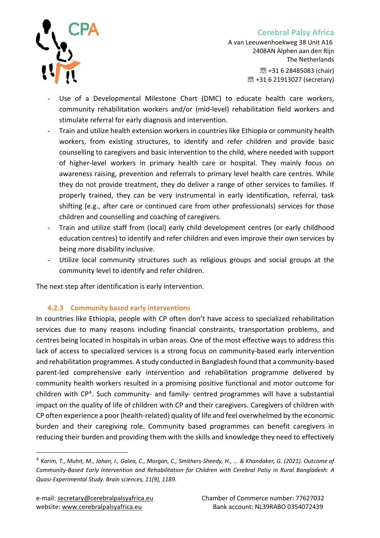

A van Leeuwenhoekweg 38 Unit A16 2408AN Alphen aan den Rijn The Netherlands ☏ +31 6 28485083 (chair) ☏ +31 6 21913027 (secretary)

- Use of a Developmental Milestone Chart (DMC) to educate health care workers, community rehabilitation workers and/or (mid-level) rehabilitation field workers and stimulate referral for early diagnosis and intervention.
- Train and utilize health extension workers in countries like Ethiopia or community health workers, from existing structures, to identify and refer children and provide basic counselling to caregivers and basic intervention to the child, where needed with support of higher-level workers in primary health care or hospital. They mainly focus on awareness raising, prevention and referrals to primary level health care centres. While they do not provide treatment, they do deliver a range of other services to families. If properly trained, they can be very instrumental in early identification, referral, task shifting (e.g., after care or continued care from other professionals) services for those children and counselling and coaching of caregivers.
- Train and utilize staff from (local) early child development centres (or early childhood education centres) to identify and refer children and even improve their own services by being more disability inclusive.
- Utilize local community structures such as religious groups and social groups at the community level to identify and refer children.

The next step after identification is early intervention.

## **4.2.3 Community based early interventions**

In countries like Ethiopia, people with CP often don't have access to specialized rehabilitation services due to many reasons including financial constraints, transportation problems, and centres being located in hospitals in urban areas. One of the most effective ways to address this lack of access to specialized services is a strong focus on community-based early intervention and rehabilitation programmes. A study conducted in Bangladesh found that a community-based parent-led comprehensive early intervention and rehabilitation programme delivered by community health workers resulted in a promising positive functional and motor outcome for children with CP<sup>4</sup>. Such community- and family- centred programmes will have a substantial impact on the quality of life of children with CP and their caregivers. Caregivers of children with CP often experience a poor (health-related) quality of life and feel overwhelmed by the economic burden and their caregiving role. Community based programmes can benefit caregivers in reducing their burden and providing them with the skills and knowledge they need to effectively

<sup>4</sup> *Karim, T., Muhit, M., Jahan, I., Galea, C., Morgan, C., Smithers-Sheedy, H., ... & Khandaker, G. (2021). Outcome of Community-Based Early Intervention and Rehabilitation for Children with Cerebral Palsy in Rural Bangladesh: A Quasi-Experimental Study. Brain sciences, 11(9), 1189*.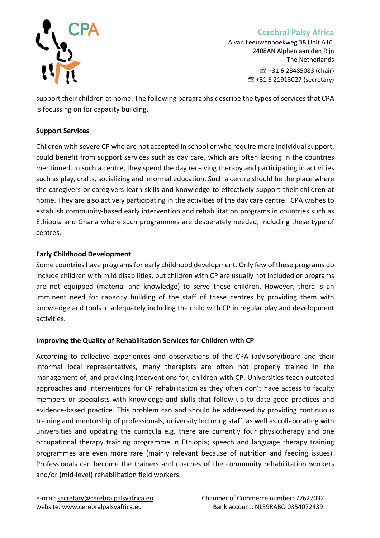

A van Leeuwenhoekweg 38 Unit A16 2408AN Alphen aan den Rijn The Netherlands ☏ +31 6 28485083 (chair) ☏ +31 6 21913027 (secretary)

support their children at home. The following paragraphs describe the types of services that CPA is focussing on for capacity building.

#### **Support Services**

Children with severe CP who are not accepted in school or who require more individual support, could benefit from support services such as day care, which are often lacking in the countries mentioned. In such a centre, they spend the day receiving therapy and participating in activities such as play, crafts, socializing and informal education. Such a centre should be the place where the caregivers or caregivers learn skills and knowledge to effectively support their children at home. They are also actively participating in the activities of the day care centre. CPA wishes to establish community-based early intervention and rehabilitation programs in countries such as Ethiopia and Ghana where such programmes are desperately needed, including these type of centres.

#### **Early Childhood Development**

Some countries have programs for early childhood development. Only few of these programs do include children with mild disabilities, but children with CP are usually not included or programs are not equipped (material and knowledge) to serve these children. However, there is an imminent need for capacity building of the staff of these centres by providing them with knowledge and tools in adequately including the child with CP in regular play and development activities.

#### **Improving the Quality of Rehabilitation Services for Children with CP**

According to collective experiences and observations of the CPA (advisory)board and their informal local representatives, many therapists are often not properly trained in the management of, and providing interventions for, children with CP. Universities teach outdated approaches and interventions for CP rehabilitation as they often don't have access to faculty members or specialists with knowledge and skills that follow up to date good practices and evidence-based practice. This problem can and should be addressed by providing continuous training and mentorship of professionals, university lecturing staff, as well as collaborating with universities and updating the curricula e.g. there are currently four physiotherapy and one occupational therapy training programme in Ethiopia; speech and language therapy training programmes are even more rare (mainly relevant because of nutrition and feeding issues). Professionals can become the trainers and coaches of the community rehabilitation workers and/or (mid-level) rehabilitation field workers.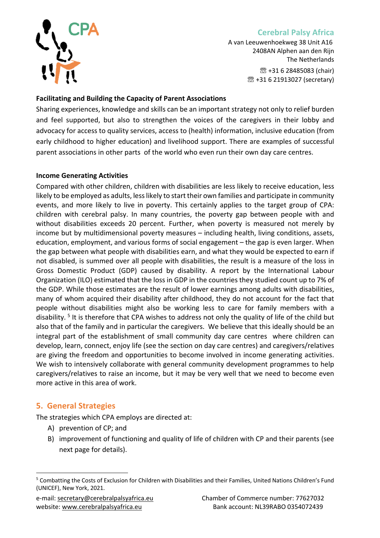

A van Leeuwenhoekweg 38 Unit A16 2408AN Alphen aan den Rijn The Netherlands ☏ +31 6 28485083 (chair) ☏ +31 6 21913027 (secretary)

#### **Facilitating and Building the Capacity of Parent Associations**

Sharing experiences, knowledge and skills can be an important strategy not only to relief burden and feel supported, but also to strengthen the voices of the caregivers in their lobby and advocacy for access to quality services, access to (health) information, inclusive education (from early childhood to higher education) and livelihood support. There are examples of successful parent associations in other parts of the world who even run their own day care centres.

#### **Income Generating Activities**

Compared with other children, children with disabilities are less likely to receive education, less likely to be employed as adults, less likely to start their own families and participate in community events, and more likely to live in poverty. This certainly applies to the target group of CPA: children with cerebral palsy. In many countries, the poverty gap between people with and without disabilities exceeds 20 percent. Further, when poverty is measured not merely by income but by multidimensional poverty measures – including health, living conditions, assets, education, employment, and various forms of social engagement – the gap is even larger. When the gap between what people with disabilities earn, and what they would be expected to earn if not disabled, is summed over all people with disabilities, the result is a measure of the loss in Gross Domestic Product (GDP) caused by disability. A report by the International Labour Organization (ILO) estimated that the loss in GDP in the countries they studied count up to 7% of the GDP. While those estimates are the result of lower earnings among adults with disabilities, many of whom acquired their disability after childhood, they do not account for the fact that people without disabilities might also be working less to care for family members with a disability.<sup>5</sup> It is therefore that CPA wishes to address not only the quality of life of the child but also that of the family and in particular the caregivers. We believe that this ideally should be an integral part of the establishment of small community day care centres where children can develop, learn, connect, enjoy life (see the section on day care centres) and caregivers/relatives are giving the freedom and opportunities to become involved in income generating activities. We wish to intensively collaborate with general community development programmes to help caregivers/relatives to raise an income, but it may be very well that we need to become even more active in this area of work.

#### **5. General Strategies**

The strategies which CPA employs are directed at:

- A) prevention of CP; and
- B) improvement of functioning and quality of life of children with CP and their parents (see next page for details).

<sup>5</sup> Combatting the Costs of Exclusion for Children with Disabilities and their Families, United Nations Children's Fund (UNICEF), New York, 2021.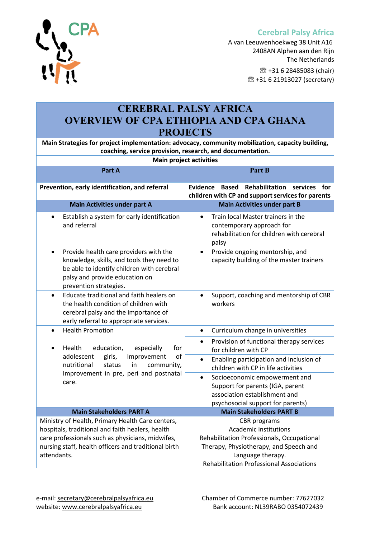



# **CEREBRAL PALSY AFRICA OVERVIEW OF CPA ETHIOPIA AND CPA GHANA PROJECTS**

**Main Strategies for project implementation: advocacy, community mobilization, capacity building, coaching, service provision, research, and documentation.**

# **Main project activities Part A Part B Prevention, early identification, and referral Evidence Based Rehabilitation services for children with CP and support services for parents Main Activities under part A Main Activities under part B**

• Establish a system for early identification and referral • Train local Master trainers in the contemporary approach for rehabilitation for children with cerebral palsy • Provide health care providers with the knowledge, skills, and tools they need to be able to identify children with cerebral palsy and provide education on prevention strategies. • Provide ongoing mentorship, and capacity building of the master trainers • Educate traditional and faith healers on the health condition of children with cerebral palsy and the importance of early referral to appropriate services. • Support, coaching and mentorship of CBR workers • Health Promotion • Health education, especially for adolescent girls, Improvement of nutritional status in community, Improvement in pre, peri and postnatal care. • Curriculum change in universities • Provision of functional therapy services for children with CP • Enabling participation and inclusion of children with CP in life activities • Socioeconomic empowerment and Support for parents (IGA, parent association establishment and psychosocial support for parents) **Main Stakeholders PART A Main Stakeholders PART B** Ministry of Health, Primary Health Care centers, hospitals, traditional and faith healers, health care professionals such as physicians, midwifes, nursing staff, health officers and traditional birth attendants. CBR programs Academic institutions Rehabilitation Professionals, Occupational Therapy, Physiotherapy, and Speech and Language therapy. Rehabilitation Professional Associations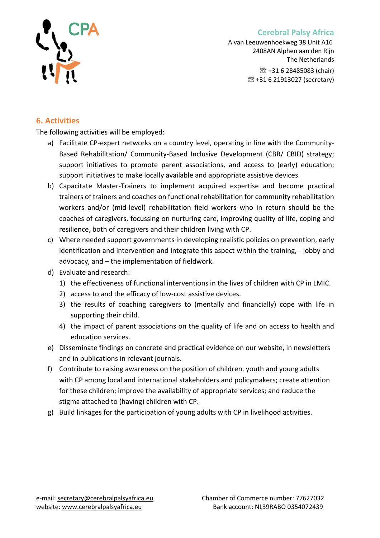



A van Leeuwenhoekweg 38 Unit A16 2408AN Alphen aan den Rijn The Netherlands ☏ +31 6 28485083 (chair) ☏ +31 6 21913027 (secretary)

## **6. Activities**

The following activities will be employed:

- a) Facilitate CP-expert networks on a country level, operating in line with the Community-Based Rehabilitation/ Community-Based Inclusive Development (CBR/ CBID) strategy; support initiatives to promote parent associations, and access to (early) education; support initiatives to make locally available and appropriate assistive devices.
- b) Capacitate Master-Trainers to implement acquired expertise and become practical trainers of trainers and coaches on functional rehabilitation for community rehabilitation workers and/or (mid-level) rehabilitation field workers who in return should be the coaches of caregivers, focussing on nurturing care, improving quality of life, coping and resilience, both of caregivers and their children living with CP.
- c) Where needed support governments in developing realistic policies on prevention, early identification and intervention and integrate this aspect within the training, - lobby and advocacy, and – the implementation of fieldwork.
- d) Evaluate and research:
	- 1) the effectiveness of functional interventions in the lives of children with CP in LMIC.
	- 2) access to and the efficacy of low-cost assistive devices.
	- 3) the results of coaching caregivers to (mentally and financially) cope with life in supporting their child.
	- 4) the impact of parent associations on the quality of life and on access to health and education services.
- e) Disseminate findings on concrete and practical evidence on our website, in newsletters and in publications in relevant journals.
- f) Contribute to raising awareness on the position of children, youth and young adults with CP among local and international stakeholders and policymakers; create attention for these children; improve the availability of appropriate services; and reduce the stigma attached to (having) children with CP.
- g) Build linkages for the participation of young adults with CP in livelihood activities.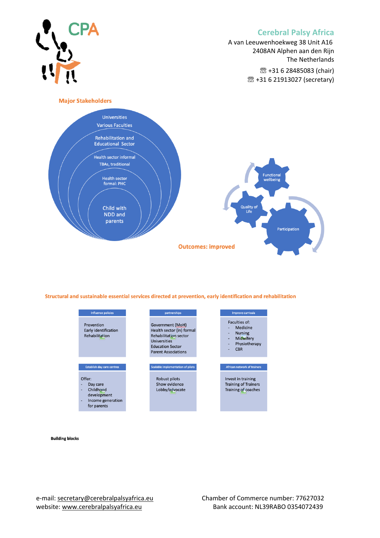A van Leeuwenhoekweg 38 Unit A16 2408AN Alphen aan den Rijn The Netherlands ☏ +31 6 28485083 (chair) ☏ +31 6 21913027 (secretary)





Structural and sustainable essential services directed at prevention, early identification and rehabilitation



**Building blocks**